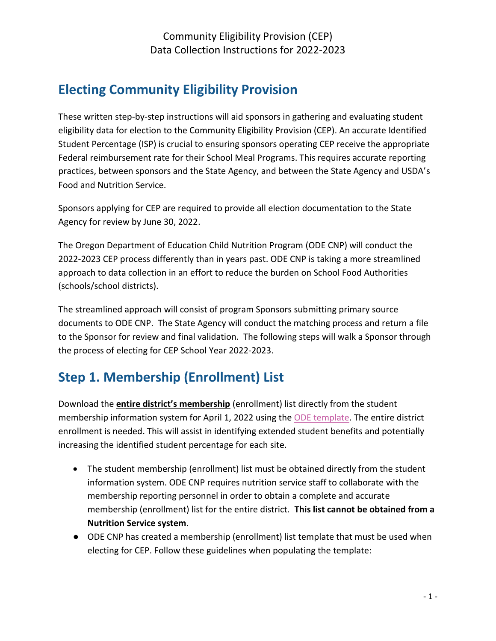# **Electing Community Eligibility Provision**

These written step-by-step instructions will aid sponsors in gathering and evaluating student eligibility data for election to the Community Eligibility Provision (CEP). An accurate Identified Student Percentage (ISP) is crucial to ensuring sponsors operating CEP receive the appropriate Federal reimbursement rate for their School Meal Programs. This requires accurate reporting practices, between sponsors and the State Agency, and between the State Agency and USDA's Food and Nutrition Service.

Sponsors applying for CEP are required to provide all election documentation to the State Agency for review by June 30, 2022.

The Oregon Department of Education Child Nutrition Program (ODE CNP) will conduct the 2022-2023 CEP process differently than in years past. ODE CNP is taking a more streamlined approach to data collection in an effort to reduce the burden on School Food Authorities (schools/school districts).

The streamlined approach will consist of program Sponsors submitting primary source documents to ODE CNP. The State Agency will conduct the matching process and return a file to the Sponsor for review and final validation. The following steps will walk a Sponsor through the process of electing for CEP School Year 2022-2023.

# **Step 1. Membership (Enrollment) List**

Download the **entire district's membership** (enrollment) list directly from the student membership information system for April 1, 2022 using the [ODE template.](https://www.oregon.gov/ode/students-and-family/childnutrition/SNP/Documents/District%20Wide%20Membership%20for%20CEP.xlsx) The entire district enrollment is needed. This will assist in identifying extended student benefits and potentially increasing the identified student percentage for each site.

- The student membership (enrollment) list must be obtained directly from the student information system. ODE CNP requires nutrition service staff to collaborate with the membership reporting personnel in order to obtain a complete and accurate membership (enrollment) list for the entire district. **This list cannot be obtained from a Nutrition Service system**.
- ODE CNP has created a membership (enrollment) list template that must be used when electing for CEP. Follow these guidelines when populating the template: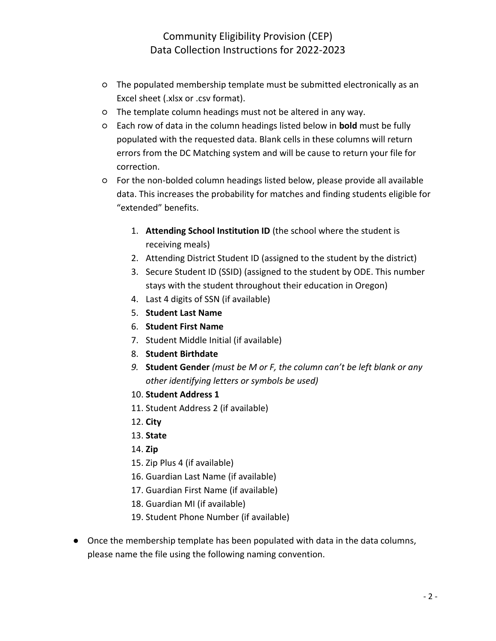- The populated membership template must be submitted electronically as an Excel sheet (.xlsx or .csv format).
- The template column headings must not be altered in any way.
- Each row of data in the column headings listed below in **bold** must be fully populated with the requested data. Blank cells in these columns will return errors from the DC Matching system and will be cause to return your file for correction.
- For the non-bolded column headings listed below, please provide all available data. This increases the probability for matches and finding students eligible for "extended" benefits.
	- 1. **Attending School Institution ID** (the school where the student is receiving meals)
	- 2. Attending District Student ID (assigned to the student by the district)
	- 3. Secure Student ID (SSID) (assigned to the student by ODE. This number stays with the student throughout their education in Oregon)
	- 4. Last 4 digits of SSN (if available)
	- 5. **Student Last Name**
	- 6. **Student First Name**
	- 7. Student Middle Initial (if available)
	- 8. **Student Birthdate**
	- *9.* **Student Gender** *(must be M or F, the column can't be left blank or any other identifying letters or symbols be used)*
	- 10. **Student Address 1**
	- 11. Student Address 2 (if available)
	- 12. **City**
	- 13. **State**
	- 14. **Zip**
	- 15. Zip Plus 4 (if available)
	- 16. Guardian Last Name (if available)
	- 17. Guardian First Name (if available)
	- 18. Guardian MI (if available)
	- 19. Student Phone Number (if available)
- Once the membership template has been populated with data in the data columns, please name the file using the following naming convention.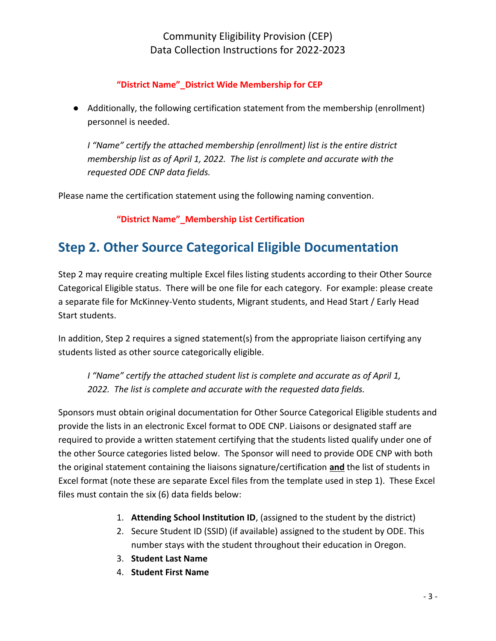### **"District Name"\_District Wide Membership for CEP**

● Additionally, the following certification statement from the membership (enrollment) personnel is needed.

*I "Name" certify the attached membership (enrollment) list is the entire district membership list as of April 1, 2022. The list is complete and accurate with the requested ODE CNP data fields.*

Please name the certification statement using the following naming convention.

**"District Name"\_Membership List Certification**

# **Step 2. Other Source Categorical Eligible Documentation**

Step 2 may require creating multiple Excel files listing students according to their Other Source Categorical Eligible status. There will be one file for each category. For example: please create a separate file for McKinney-Vento students, Migrant students, and Head Start / Early Head Start students.

In addition, Step 2 requires a signed statement(s) from the appropriate liaison certifying any students listed as other source categorically eligible.

*I "Name" certify the attached student list is complete and accurate as of April 1, 2022. The list is complete and accurate with the requested data fields.*

Sponsors must obtain original documentation for Other Source Categorical Eligible students and provide the lists in an electronic Excel format to ODE CNP. Liaisons or designated staff are required to provide a written statement certifying that the students listed qualify under one of the other Source categories listed below. The Sponsor will need to provide ODE CNP with both the original statement containing the liaisons signature/certification **and** the list of students in Excel format (note these are separate Excel files from the template used in step 1). These Excel files must contain the six (6) data fields below:

- 1. **Attending School Institution ID**, (assigned to the student by the district)
- 2. Secure Student ID (SSID) (if available) assigned to the student by ODE. This number stays with the student throughout their education in Oregon.
- 3. **Student Last Name**
- 4. **Student First Name**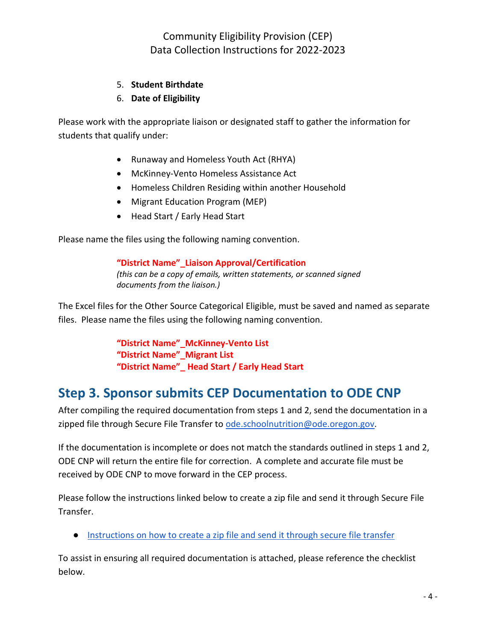#### 5. **Student Birthdate**

#### 6. **Date of Eligibility**

Please work with the appropriate liaison or designated staff to gather the information for students that qualify under:

- Runaway and Homeless Youth Act (RHYA)
- McKinney-Vento Homeless Assistance Act
- Homeless Children Residing within another Household
- Migrant Education Program (MEP)
- Head Start / Early Head Start

Please name the files using the following naming convention.

**"District Name"\_Liaison Approval/Certification** *(this can be a copy of emails, written statements, or scanned signed documents from the liaison.)*

The Excel files for the Other Source Categorical Eligible, must be saved and named as separate files. Please name the files using the following naming convention.

> **"District Name"\_McKinney-Vento List "District Name"\_Migrant List "District Name"\_ Head Start / Early Head Start**

### **Step 3. Sponsor submits CEP Documentation to ODE CNP**

After compiling the required documentation from steps 1 and 2, send the documentation in a zipped file through Secure File Transfer to [ode.schoolnutrition@ode.oregon.gov.](mailto:ode.schoolnutrition@state.or.us)

If the documentation is incomplete or does not match the standards outlined in steps 1 and 2, ODE CNP will return the entire file for correction. A complete and accurate file must be received by ODE CNP to move forward in the CEP process.

Please follow the instructions linked below to create a zip file and send it through Secure File Transfer.

● [Instructions on how to create a zip file and send it through secure file transfer](https://www.oregon.gov/ode/students-and-family/childnutrition/Documents/Secure%20File%20Transfer-Sending.docx) 

To assist in ensuring all required documentation is attached, please reference the checklist below.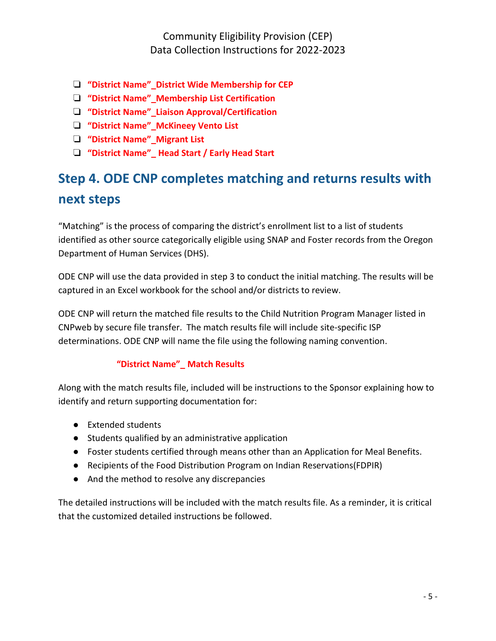- ❏ **"District Name"\_District Wide Membership for CEP**
- ❏ **"District Name"\_Membership List Certification**
- ❏ **"District Name"\_Liaison Approval/Certification**
- ❏ **"District Name"\_McKineey Vento List**
- ❏ **"District Name"\_Migrant List**
- ❏ **"District Name"\_ Head Start / Early Head Start**

# **Step 4. ODE CNP completes matching and returns results with next steps**

"Matching" is the process of comparing the district's enrollment list to a list of students identified as other source categorically eligible using SNAP and Foster records from the Oregon Department of Human Services (DHS).

ODE CNP will use the data provided in step 3 to conduct the initial matching. The results will be captured in an Excel workbook for the school and/or districts to review.

ODE CNP will return the matched file results to the Child Nutrition Program Manager listed in CNPweb by secure file transfer. The match results file will include site-specific ISP determinations. ODE CNP will name the file using the following naming convention.

### **"District Name"\_ Match Results**

Along with the match results file, included will be instructions to the Sponsor explaining how to identify and return supporting documentation for:

- Extended students
- Students qualified by an administrative application
- Foster students certified through means other than an Application for Meal Benefits.
- Recipients of the Food Distribution Program on Indian Reservations(FDPIR)
- And the method to resolve any discrepancies

The detailed instructions will be included with the match results file. As a reminder, it is critical that the customized detailed instructions be followed.